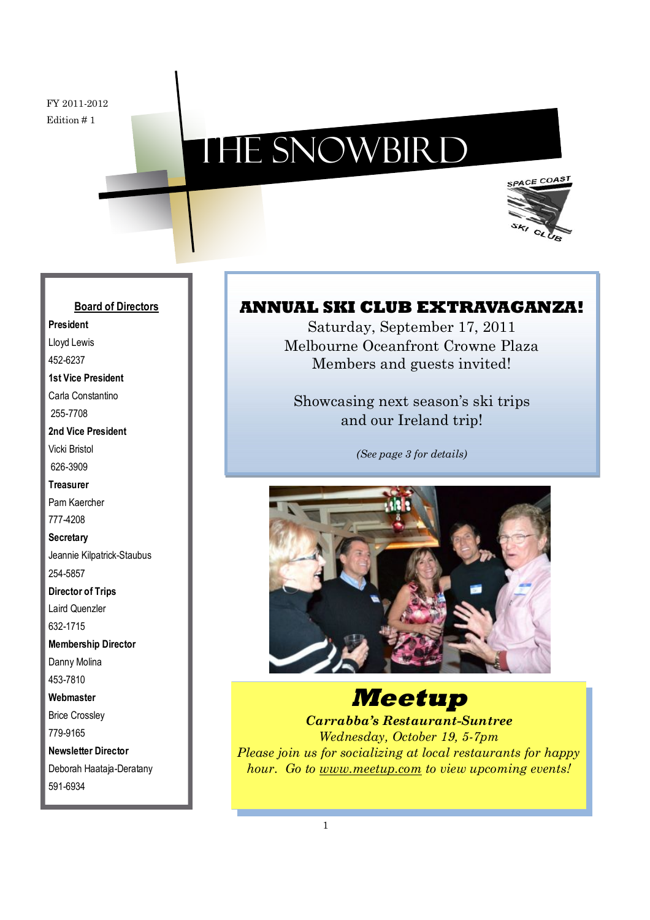# The Snowbird



### **Board of Directors**

**President** Lloyd Lewis 452-6237 **1st Vice President** Carla Constantino 255-7708 **2nd Vice President** Vicki Bristol 626-3909 **Treasurer** Pam Kaercher 777-4208 **Secretary** Jeannie Kilpatrick-Staubus 254-5857 **Director of Trips** Laird Quenzler

632-1715

**Membership Director** Danny Molina

453-7810

**Webmaster**

Brice Crossley 779-9165

**Newsletter Director** Deborah Haataja-Deratany

591-6934

### **ANNUAL SKI CLUB EXTRAVAGANZA!**

Saturday, September 17, 2011 Melbourne Oceanfront Crowne Plaza Members and guests invited!

Showcasing next season's ski trips and our Ireland trip!

*(See page 3 for details)*



### **Meetup**

*Carrabba's Restaurant-Suntree Wednesday, October 19, 5-7pm Please join us for socializing at local restaurants for happy hour. Go to www.meetup.com to view upcoming events!*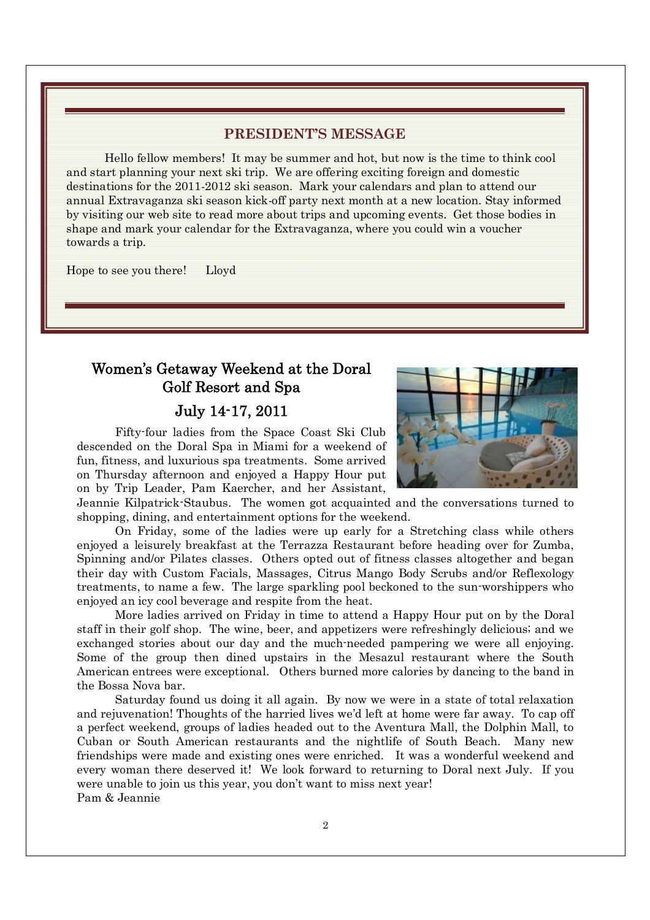#### **PRESIDENT'S MESSAGE**

Hello fellow members! It may be summer and hot, but now is the time to think cool and start planning your next ski trip. We are offering exciting foreign and domestic destinations for the 2011-2012 ski season. Mark your calendars and plan to attend our annual Extravaganza ski season kick-off party next month at a new location. Stay informed by visiting our web site to read more about trips and upcoming events. Get those bodies in shape and mark your calendar for the Extravaganza, where you could win a voucher towards a trip.

Hope to see you there! Lloyd

### Women's Getaway Weekend at the Doral Golf Resort and Spa

#### July 14-17, 2011

Fifty-four ladies from the Space Coast Ski Club descended on the Doral Spa in Miami for a weekend of fun, fitness, and luxurious spa treatments. Some arrived on Thursday afternoon and enjoyed a Happy Hour put on by Trip Leader, Pam Kaercher, and her Assistant,

Jeannie Kilpatrick-Staubus. The women got acquainted and the conversations turned to shopping, dining, and entertainment options for the weekend.

On Friday, some of the ladies were up early for a Stretching class while others enjoyed a leisurely breakfast at the Terrazza Restaurant before heading over for Zumba, Spinning and/or Pilates classes. Others opted out of fitness classes altogether and began their day with Custom Facials, Massages, Citrus Mango Body Scrubs and/or Reflexology treatments, to name a few. The large sparkling pool beckoned to the sun-worshippers who enjoyed an icy cool beverage and respite from the heat.

More ladies arrived on Friday in time to attend a Happy Hour put on by the Doral staff in their golf shop. The wine, beer, and appetizers were refreshingly delicious; and we exchanged stories about our day and the much-needed pampering we were all enjoying. Some of the group then dined upstairs in the Mesazul restaurant where the South American entrees were exceptional. Others burned more calories by dancing to the band in the Bossa Nova bar.

Saturday found us doing it all again. By now we were in a state of total relaxation and rejuvenation! Thoughts of the harried lives we'd left at home were far away. To cap off a perfect weekend, groups of ladies headed out to the Aventura Mall, the Dolphin Mall, to Cuban or South American restaurants and the nightlife of South Beach. Many new friendships were made and existing ones were enriched. It was a wonderful weekend and every woman there deserved it! We look forward to returning to Doral next July. If you were unable to join us this year, you don't want to miss next year! Pam & Jeannie

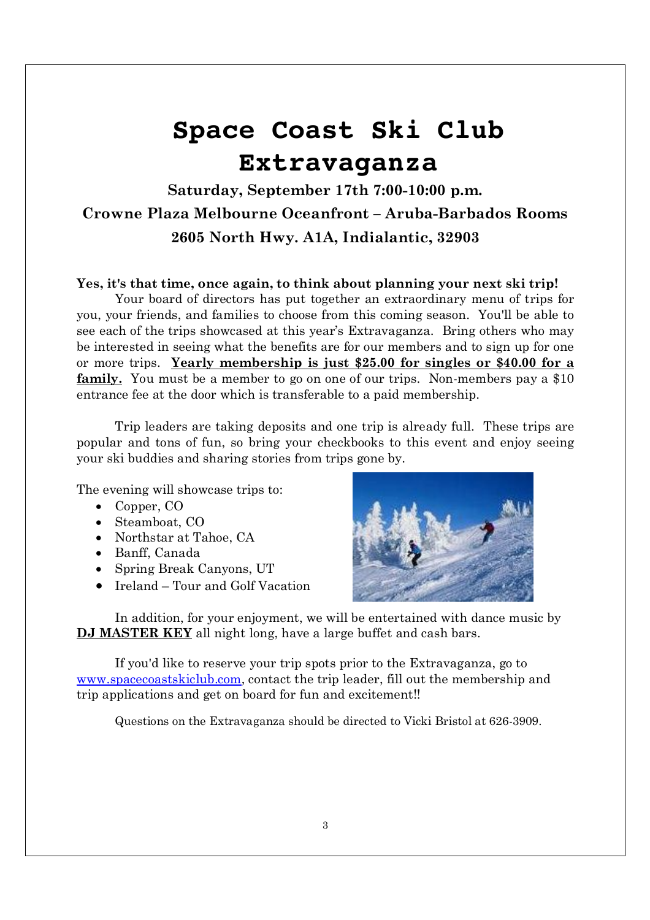# **Space Coast Ski Club Extravaganza**

### **Saturday, September 17th 7:00-10:00 p.m. Crowne Plaza Melbourne Oceanfront – Aruba-Barbados Rooms 2605 North Hwy. A1A, Indialantic, 32903**

#### **Yes, it's that time, once again, to think about planning your next ski trip!**

Your board of directors has put together an extraordinary menu of trips for you, your friends, and families to choose from this coming season. You'll be able to see each of the trips showcased at this year's Extravaganza. Bring others who may be interested in seeing what the benefits are for our members and to sign up for one or more trips. **Yearly membership is just \$25.00 for singles or \$40.00 for a** family. You must be a member to go on one of our trips. Non-members pay a \$10 entrance fee at the door which is transferable to a paid membership.

Trip leaders are taking deposits and one trip is already full. These trips are popular and tons of fun, so bring your checkbooks to this event and enjoy seeing your ski buddies and sharing stories from trips gone by.

The evening will showcase trips to:

- Copper,  $CO$
- $\bullet$  Steamboat, CO
- Northstar at Tahoe, CA
- Banff, Canada
- Spring Break Canyons, UT
- $\bullet$  Ireland Tour and Golf Vacation



In addition, for your enjoyment, we will be entertained with dance music by **DJ MASTER KEY** all night long, have a large buffet and cash bars.

If you'd like to reserve your trip spots prior to the Extravaganza, go to www.spacecoastskiclub.com, contact the trip leader, fill out the membership and trip applications and get on board for fun and excitement!!

Questions on the Extravaganza should be directed to Vicki Bristol at 626-3909.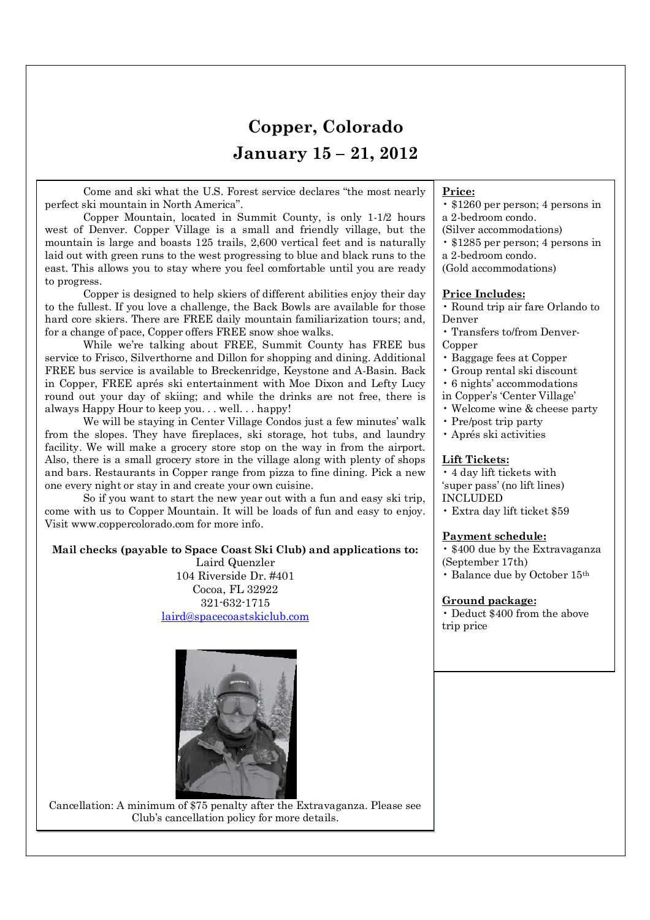### **Copper, Colorado January 15 – 21, 2012**

Come and ski what the U.S. Forest service declares "the most nearly perfect ski mountain in North America".

Copper Mountain, located in Summit County, is only 1-1/2 hours west of Denver. Copper Village is a small and friendly village, but the mountain is large and boasts 125 trails, 2,600 vertical feet and is naturally laid out with green runs to the west progressing to blue and black runs to the east. This allows you to stay where you feel comfortable until you are ready to progress.

Copper is designed to help skiers of different abilities enjoy their day to the fullest. If you love a challenge, the Back Bowls are available for those hard core skiers. There are FREE daily mountain familiarization tours; and, for a change of pace, Copper offers FREE snow shoe walks.

While we're talking about FREE, Summit County has FREE bus service to Frisco, Silverthorne and Dillon for shopping and dining. Additional FREE bus service is available to Breckenridge, Keystone and A-Basin. Back in Copper, FREE aprés ski entertainment with Moe Dixon and Lefty Lucy round out your day of skiing; and while the drinks are not free, there is always Happy Hour to keep you. . . well. . . happy!

We will be staying in Center Village Condos just a few minutes' walk from the slopes. They have fireplaces, ski storage, hot tubs, and laundry facility. We will make a grocery store stop on the way in from the airport. Also, there is a small grocery store in the village along with plenty of shops and bars. Restaurants in Copper range from pizza to fine dining. Pick a new one every night or stay in and create your own cuisine.

So if you want to start the new year out with a fun and easy ski trip, come with us to Copper Mountain. It will be loads of fun and easy to enjoy. Visit www.coppercolorado.com for more info.

#### **Mail checks (payable to Space Coast Ski Club) and applications to:**

Laird Quenzler 104 Riverside Dr. #401 Cocoa, FL 32922 321-632-1715 laird@spacecoastskiclub.com





#### **Price:**

- \$1260 per person; 4 persons in a 2-bedroom condo.
- (Silver accommodations)
- \$1285 per person; 4 persons in
- a 2-bedroom condo.
- (Gold accommodations)

#### **Price Includes:**

• Round trip air fare Orlando to Denver

- Transfers to/from Denver-Copper
- Baggage fees at Copper
- Group rental ski discount
- 6 nights' accommodations
- in Copper's 'Center Village'
- Welcome wine & cheese party
- Pre/post trip party
- Aprés ski activities

#### **Lift Tickets:**

• 4 day lift tickets with 'super pass' (no lift lines) INCLUDED

• Extra day lift ticket \$59

#### **Payment schedule:**

• \$400 due by the Extravaganza (September 17th)

• Balance due by October 15th

#### **Ground package:**

• Deduct \$400 from the above trip price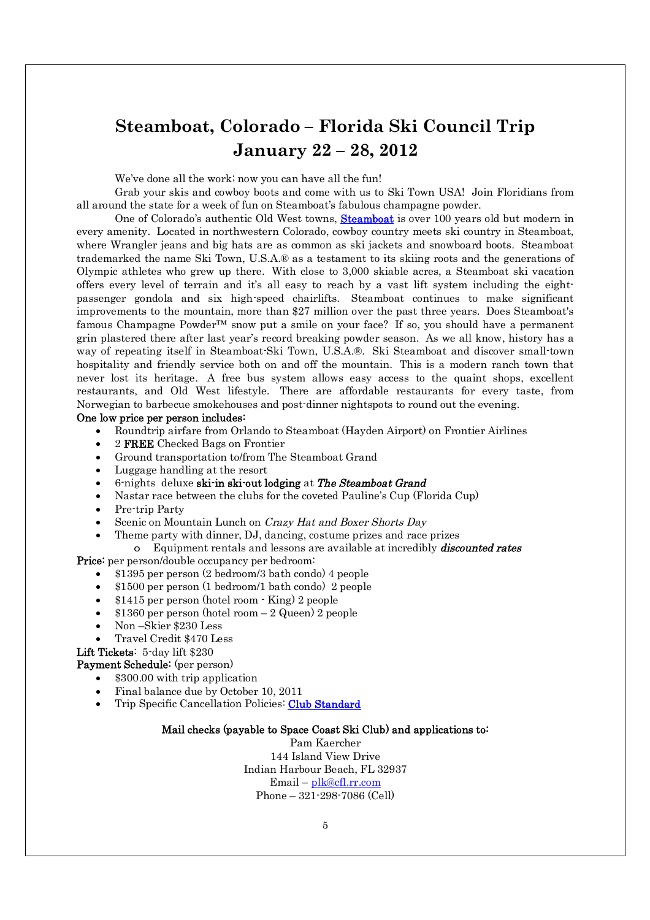### **Steamboat, Colorado – Florida Ski Council Trip January 22 – 28, 2012**

We've done all the work; now you can have all the fun!

Grab your skis and cowboy boots and come with us to Ski Town USA! Join Floridians from all around the state for a week of fun on Steamboat's fabulous champagne powder.

One of Colorado's authentic Old West towns, **Steamboat** is over 100 years old but modern in every amenity. Located in northwestern Colorado, cowboy country meets ski country in Steamboat, where Wrangler jeans and big hats are as common as ski jackets and snowboard boots. Steamboat trademarked the name Ski Town, U.S.A.® as a testament to its skiing roots and the generations of Olympic athletes who grew up there. With close to 3,000 skiable acres, a Steamboat ski vacation offers every level of terrain and it's all easy to reach by a vast lift system including the eightpassenger gondola and six high-speed chairlifts. Steamboat continues to make significant improvements to the mountain, more than \$27 million over the past three years. Does Steamboat's famous Champagne Powder<sup> $TM$ </sup> snow put a smile on your face? If so, you should have a permanent grin plastered there after last year's record breaking powder season. As we all know, history has a way of repeating itself in Steamboat-Ski Town, U.S.A.®. Ski Steamboat and discover small-town hospitality and friendly service both on and off the mountain. This is a modern ranch town that never lost its heritage. A free bus system allows easy access to the quaint shops, excellent restaurants, and Old West lifestyle. There are affordable restaurants for every taste, from Norwegian to barbecue smokehouses and post-dinner nightspots to round out the evening.

#### One low price per person includes:

- x Roundtrip airfare from Orlando to Steamboat (Hayden Airport) on Frontier Airlines
- 2 FREE Checked Bags on Frontier
- Ground transportation to/from The Steamboat Grand
- Luggage handling at the resort
- 6-nights deluxe ski-in ski-out lodging at The Steamboat Grand
- Nastar race between the clubs for the coveted Pauline's Cup (Florida Cup)
- Pre-trip Party
- Scenic on Mountain Lunch on Crazy Hat and Boxer Shorts Day
	- x Theme party with dinner, DJ, dancing, costume prizes and race prizes
- o Equipment rentals and lessons are available at incredibly *discounted rates* Price: per person/double occupancy per bedroom:
	- x \$1395 per person (2 bedroom/3 bath condo) 4 people
	- x \$1500 per person (1 bedroom/1 bath condo) 2 people
	- $\bullet$  \$1415 per person (hotel room  $\cdot$  King) 2 people
	- $$1360$  per person (hotel room  $-2$  Queen) 2 people
	- x Non –Skier \$230 Less
	- x Travel Credit \$470 Less

Lift Tickets: 5-day lift \$230

Payment Schedule: (per person)

- \$300.00 with trip application
- x Final balance due by October 10, 2011
- Trip Specific Cancellation Policies: Club Standard

#### Mail checks (payable to Space Coast Ski Club) and applications to:

Pam Kaercher 144 Island View Drive Indian Harbour Beach, FL 32937 Email – plk@cfl.rr.com Phone – 321-298-7086 (Cell)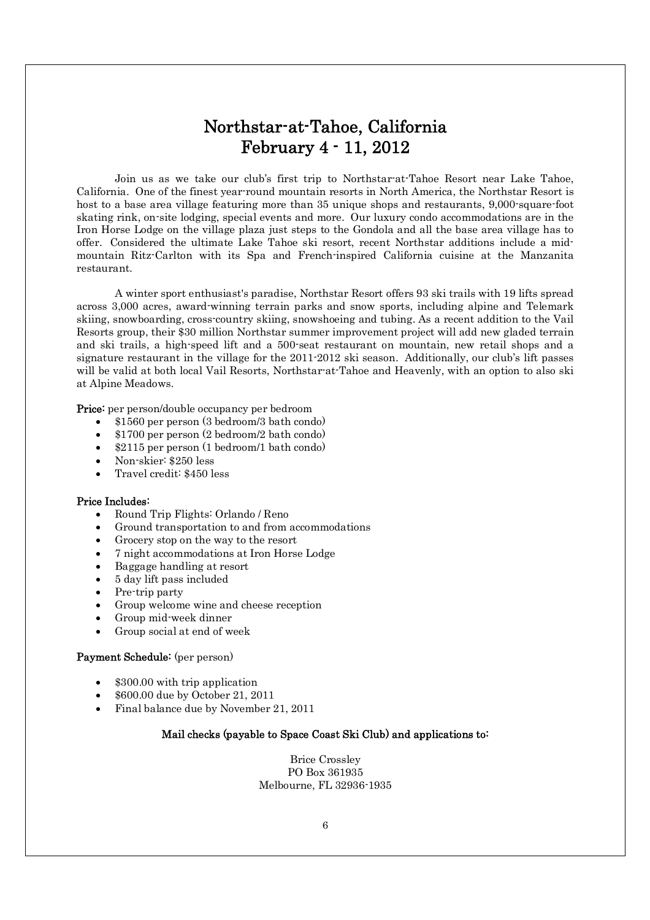### Northstar-at-Tahoe, California February 4 - 11, 2012

Join us as we take our club's first trip to Northstar-at-Tahoe Resort near Lake Tahoe, California. One of the finest year-round mountain resorts in North America, the Northstar Resort is host to a base area village featuring more than 35 unique shops and restaurants, 9,000-square-foot skating rink, on-site lodging, special events and more. Our luxury condo accommodations are in the Iron Horse Lodge on the village plaza just steps to the Gondola and all the base area village has to offer. Considered the ultimate Lake Tahoe ski resort, recent Northstar additions include a midmountain Ritz-Carlton with its Spa and French-inspired California cuisine at the Manzanita restaurant.

A winter sport enthusiast's paradise, Northstar Resort offers 93 ski trails with 19 lifts spread across 3,000 acres, award-winning terrain parks and snow sports, including alpine and Telemark skiing, snowboarding, cross-country skiing, snowshoeing and tubing. As a recent addition to the Vail Resorts group, their \$30 million Northstar summer improvement project will add new gladed terrain and ski trails, a high-speed lift and a 500-seat restaurant on mountain, new retail shops and a signature restaurant in the village for the 2011-2012 ski season. Additionally, our club's lift passes will be valid at both local Vail Resorts, Northstar-at-Tahoe and Heavenly, with an option to also ski at Alpine Meadows.

Price: per person/double occupancy per bedroom

- x \$1560 per person (3 bedroom/3 bath condo)
- x \$1700 per person (2 bedroom/2 bath condo)
- x \$2115 per person (1 bedroom/1 bath condo)
- x Non-skier: \$250 less
- Travel credit: \$450 less

#### Price Includes:

- x Round Trip Flights: Orlando / Reno
- Ground transportation to and from accommodations
- Grocery stop on the way to the resort
- x 7 night accommodations at Iron Horse Lodge
- x Baggage handling at resort
- x 5 day lift pass included
- Pre-trip party
- Group welcome wine and cheese reception
- $\bullet$  Group mid-week dinner
- Group social at end of week

#### Payment Schedule: (per person)

- \$300.00 with trip application
- x \$600.00 due by October 21, 2011
- x Final balance due by November 21, 2011

#### Mail checks (payable to Space Coast Ski Club) and applications to:

Brice Crossley PO Box 361935 Melbourne, FL 32936-1935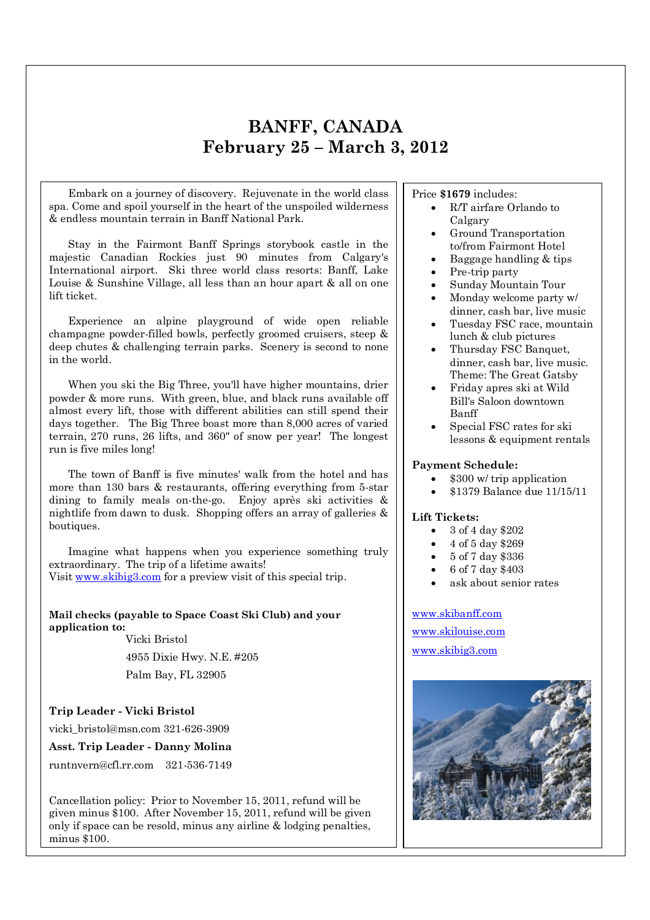### **BANFF, CANADA February 25 – March 3, 2012**

Embark on a journey of discovery. Rejuvenate in the world class spa. Come and spoil yourself in the heart of the unspoiled wilderness & endless mountain terrain in Banff National Park.

Stay in the Fairmont Banff Springs storybook castle in the majestic Canadian Rockies just 90 minutes from Calgary's International airport. Ski three world class resorts: Banff, Lake Louise & Sunshine Village, all less than an hour apart & all on one lift ticket.

Experience an alpine playground of wide open reliable champagne powder-filled bowls, perfectly groomed cruisers, steep & deep chutes & challenging terrain parks. Scenery is second to none in the world.

When you ski the Big Three, you'll have higher mountains, drier powder & more runs. With green, blue, and black runs available off almost every lift, those with different abilities can still spend their days together. The Big Three boast more than 8,000 acres of varied terrain, 270 runs, 26 lifts, and 360" of snow per year! The longest run is five miles long!

The town of Banff is five minutes' walk from the hotel and has more than 130 bars & restaurants, offering everything from 5-star dining to family meals on-the-go. Enjoy après ski activities & nightlife from dawn to dusk. Shopping offers an array of galleries & boutiques.

Imagine what happens when you experience something truly extraordinary. The trip of a lifetime awaits! Visit www.skibig3.com for a preview visit of this special trip.

**Mail checks (payable to Space Coast Ski Club) and your application to:** Vicki Bristol

4955 Dixie Hwy. N.E. #205 Palm Bay, FL 32905

#### **Trip Leader - Vicki Bristol**

vicki\_bristol@msn.com 321-626-3909

**Asst. Trip Leader - Danny Molina**

runtnvern@cfl.rr.com 321-536-7149

only if space can be resold, minus any airline & lodging penalties, Cancellation policy: Prior to November 15, 2011, refund will be given minus \$100. After November 15, 2011, refund will be given minus \$100.

Price **\$1679** includes:

- x R/T airfare Orlando to Calgary
- Ground Transportation to/from Fairmont Hotel
- x Baggage handling & tips
- Pre-trip party
- x Sunday Mountain Tour
- Monday welcome party w/ dinner, cash bar, live music
- Tuesday FSC race, mountain lunch & club pictures
- x Thursday FSC Banquet, dinner, cash bar, live music. Theme: The Great Gatsby
- x Friday apres ski at Wild Bill's Saloon downtown Banff
- Special FSC rates for ski lessons & equipment rentals

#### **Payment Schedule:**

- $\bullet$  \$300 w/ trip application
- x \$1379 Balance due 11/15/11

#### **Lift Tickets:**

- $\bullet$  3 of 4 day \$202
- x 4 of 5 day \$269
- x 5 of 7 day \$336
- x 6 of 7 day \$403
- ask about senior rates

www.skibanff.com

www.skilouise.com

www.skibig3.com

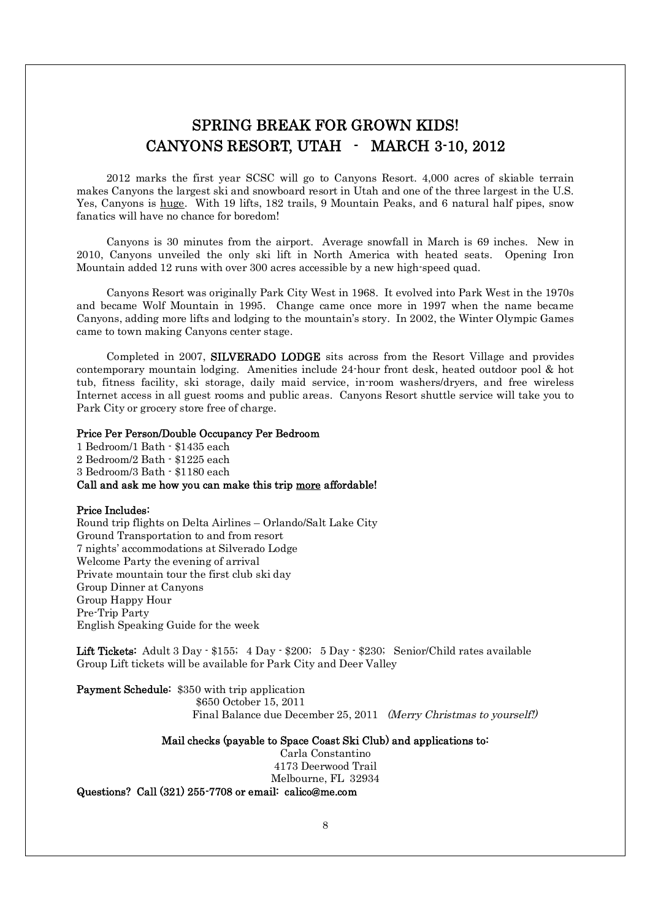### SPRING BREAK FOR GROWN KIDS! CANYONS RESORT, UTAH - MARCH 3-10, 2012

2012 marks the first year SCSC will go to Canyons Resort. 4,000 acres of skiable terrain makes Canyons the largest ski and snowboard resort in Utah and one of the three largest in the U.S. Yes, Canyons is huge. With 19 lifts, 182 trails, 9 Mountain Peaks, and 6 natural half pipes, snow fanatics will have no chance for boredom!

Canyons is 30 minutes from the airport. Average snowfall in March is 69 inches. New in 2010, Canyons unveiled the only ski lift in North America with heated seats. Opening Iron Mountain added 12 runs with over 300 acres accessible by a new high-speed quad.

Canyons Resort was originally Park City West in 1968. It evolved into Park West in the 1970s and became Wolf Mountain in 1995. Change came once more in 1997 when the name became Canyons, adding more lifts and lodging to the mountain's story. In 2002, the Winter Olympic Games came to town making Canyons center stage.

Completed in 2007, SILVERADO LODGE sits across from the Resort Village and provides contemporary mountain lodging. Amenities include 24-hour front desk, heated outdoor pool & hot tub, fitness facility, ski storage, daily maid service, in-room washers/dryers, and free wireless Internet access in all guest rooms and public areas. Canyons Resort shuttle service will take you to Park City or grocery store free of charge.

#### Price Per Person/Double Occupancy Per Bedroom

1 Bedroom/1 Bath - \$1435 each 2 Bedroom/2 Bath - \$1225 each 3 Bedroom/3 Bath - \$1180 each Call and ask me how you can make this trip more affordable!

#### Price Includes:

Round trip flights on Delta Airlines – Orlando/Salt Lake City Ground Transportation to and from resort 7 nights' accommodations at Silverado Lodge Welcome Party the evening of arrival Private mountain tour the first club ski day Group Dinner at Canyons Group Happy Hour Pre-Trip Party English Speaking Guide for the week

Lift Tickets: Adult 3 Day - \$155; 4 Day - \$200; 5 Day - \$230; Senior/Child rates available Group Lift tickets will be available for Park City and Deer Valley

Payment Schedule: \$350 with trip application \$650 October 15, 2011 Final Balance due December 25, 2011 (Merry Christmas to yourself!)

#### Mail checks (payable to Space Coast Ski Club) and applications to:

Carla Constantino 4173 Deerwood Trail Melbourne, FL 32934 Questions? Call (321) 255-7708 or email: calico@me.com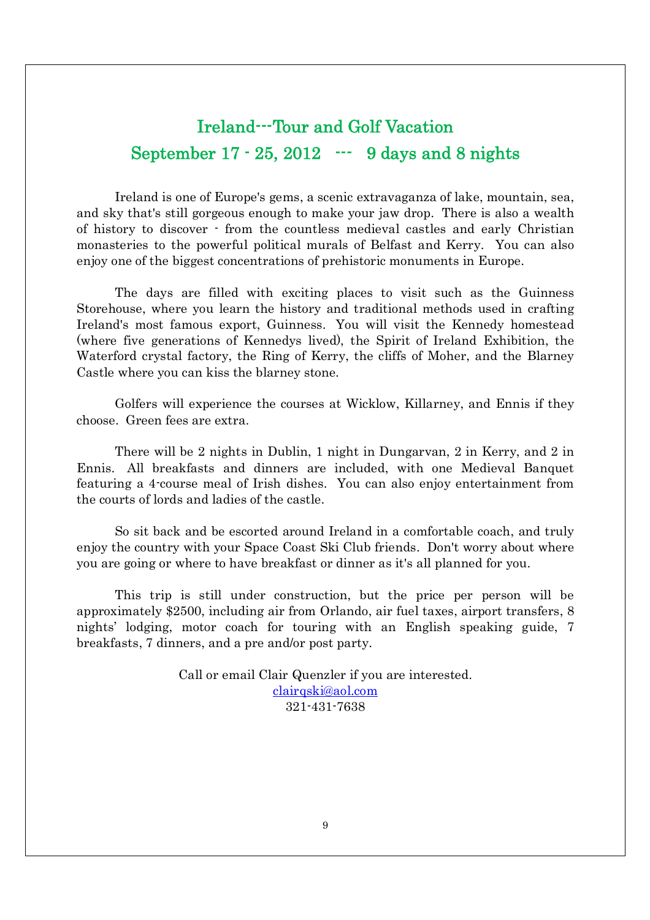### Ireland---Tour and Golf Vacation September 17 - 25, 2012 --- 9 days and 8 nights

Ireland is one of Europe's gems, a scenic extravaganza of lake, mountain, sea, and sky that's still gorgeous enough to make your jaw drop. There is also a wealth of history to discover - from the countless medieval castles and early Christian monasteries to the powerful political murals of Belfast and Kerry. You can also enjoy one of the biggest concentrations of prehistoric monuments in Europe.

The days are filled with exciting places to visit such as the Guinness Storehouse, where you learn the history and traditional methods used in crafting Ireland's most famous export, Guinness. You will visit the Kennedy homestead (where five generations of Kennedys lived), the Spirit of Ireland Exhibition, the Waterford crystal factory, the Ring of Kerry, the cliffs of Moher, and the Blarney Castle where you can kiss the blarney stone.

Golfers will experience the courses at Wicklow, Killarney, and Ennis if they choose. Green fees are extra.

There will be 2 nights in Dublin, 1 night in Dungarvan, 2 in Kerry, and 2 in Ennis. All breakfasts and dinners are included, with one Medieval Banquet featuring a 4-course meal of Irish dishes. You can also enjoy entertainment from the courts of lords and ladies of the castle.

So sit back and be escorted around Ireland in a comfortable coach, and truly enjoy the country with your Space Coast Ski Club friends. Don't worry about where you are going or where to have breakfast or dinner as it's all planned for you.

This trip is still under construction, but the price per person will be approximately \$2500, including air from Orlando, air fuel taxes, airport transfers, 8 nights' lodging, motor coach for touring with an English speaking guide, 7 breakfasts, 7 dinners, and a pre and/or post party.

> Call or email Clair Quenzler if you are interested. clairqski@aol.com 321-431-7638